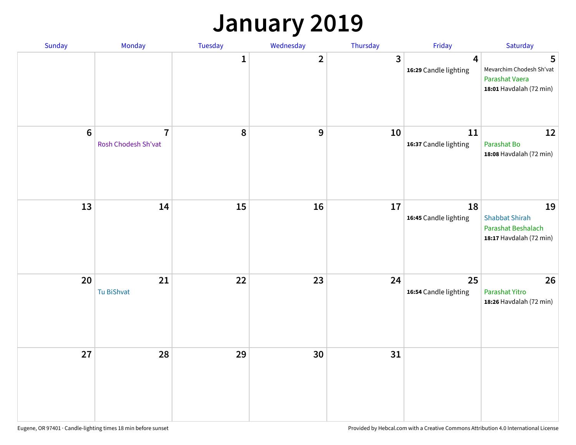### **January 2019**

| Sunday           | Monday                                | Tuesday | Wednesday      | Thursday     | Friday                                           | Saturday                                                                     |
|------------------|---------------------------------------|---------|----------------|--------------|--------------------------------------------------|------------------------------------------------------------------------------|
|                  |                                       | 1       | $\overline{2}$ | $\mathbf{3}$ | $\overline{\mathbf{4}}$<br>16:29 Candle lighting | 5<br>Mevarchim Chodesh Sh'vat<br>Parashat Vaera<br>18:01 Havdalah (72 min)   |
| $\boldsymbol{6}$ | $\overline{7}$<br>Rosh Chodesh Sh'vat | 8       | 9              | 10           | 11<br>16:37 Candle lighting                      | 12<br>Parashat Bo<br>18:08 Havdalah (72 min)                                 |
| 13               | 14                                    | 15      | 16             | 17           | 18<br>16:45 Candle lighting                      | 19<br><b>Shabbat Shirah</b><br>Parashat Beshalach<br>18:17 Havdalah (72 min) |
| 20               | 21<br>Tu BiShvat                      | 22      | 23             | 24           | 25<br>16:54 Candle lighting                      | 26<br>Parashat Yitro<br>18:26 Havdalah (72 min)                              |
| 27               | 28                                    | 29      | 30             | 31           |                                                  |                                                                              |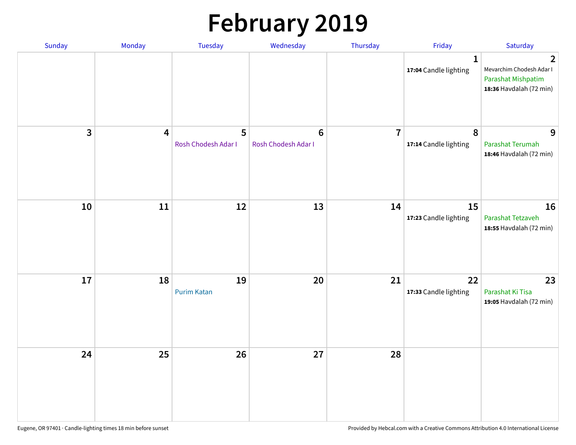# **February 2019**

| Sunday | Monday                  | Tuesday                  | Wednesday                             | Thursday       | Friday                                | Saturday                                                                                    |
|--------|-------------------------|--------------------------|---------------------------------------|----------------|---------------------------------------|---------------------------------------------------------------------------------------------|
|        |                         |                          |                                       |                | $\mathbf{1}$<br>17:04 Candle lighting | $\overline{2}$<br>Mevarchim Chodesh Adar I<br>Parashat Mishpatim<br>18:36 Havdalah (72 min) |
| 3      | $\overline{\mathbf{4}}$ | 5<br>Rosh Chodesh Adar I | $6\phantom{1}$<br>Rosh Chodesh Adar I | $\overline{7}$ | $\pmb{8}$<br>17:14 Candle lighting    | 9<br>Parashat Terumah<br>18:46 Havdalah (72 min)                                            |
| 10     | 11                      | 12                       | 13                                    | 14             | 15<br>17:23 Candle lighting           | 16<br>Parashat Tetzaveh<br>18:55 Havdalah (72 min)                                          |
| 17     | 18                      | 19<br><b>Purim Katan</b> | 20                                    | 21             | 22<br>17:33 Candle lighting           | 23<br>Parashat Ki Tisa<br>19:05 Havdalah (72 min)                                           |
| 24     | 25                      | 26                       | 27                                    | 28             |                                       |                                                                                             |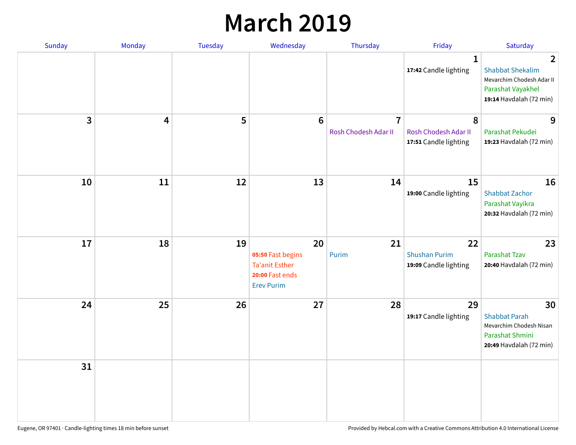### **March 2019**

| Sunday       | Monday | <b>Tuesday</b> | Wednesday                                                                                | Thursday                               | Friday                                              | Saturday                                                                                                               |
|--------------|--------|----------------|------------------------------------------------------------------------------------------|----------------------------------------|-----------------------------------------------------|------------------------------------------------------------------------------------------------------------------------|
|              |        |                |                                                                                          |                                        | $\mathbf{1}$<br>17:42 Candle lighting               | $\overline{2}$<br><b>Shabbat Shekalim</b><br>Mevarchim Chodesh Adar II<br>Parashat Vayakhel<br>19:14 Havdalah (72 min) |
| $\mathbf{3}$ | 4      | 5              | $6\phantom{1}$                                                                           | $\overline{7}$<br>Rosh Chodesh Adar II | 8<br>Rosh Chodesh Adar II<br>17:51 Candle lighting  | 9<br>Parashat Pekudei<br>19:23 Havdalah (72 min)                                                                       |
| 10           | 11     | 12             | 13                                                                                       | 14                                     | 15<br>19:00 Candle lighting                         | 16<br>Shabbat Zachor<br>Parashat Vayikra<br>20:32 Havdalah (72 min)                                                    |
| 17           | 18     | 19             | 20<br>05:50 Fast begins<br><b>Ta'anit Esther</b><br>20:00 Fast ends<br><b>Erev Purim</b> | 21<br>Purim                            | 22<br><b>Shushan Purim</b><br>19:09 Candle lighting | 23<br><b>Parashat Tzav</b><br>20:40 Havdalah (72 min)                                                                  |
| 24           | 25     | 26             | 27                                                                                       | 28                                     | 29<br>19:17 Candle lighting                         | 30<br><b>Shabbat Parah</b><br>Mevarchim Chodesh Nisan<br>Parashat Shmini<br>20:49 Havdalah (72 min)                    |
| 31           |        |                |                                                                                          |                                        |                                                     |                                                                                                                        |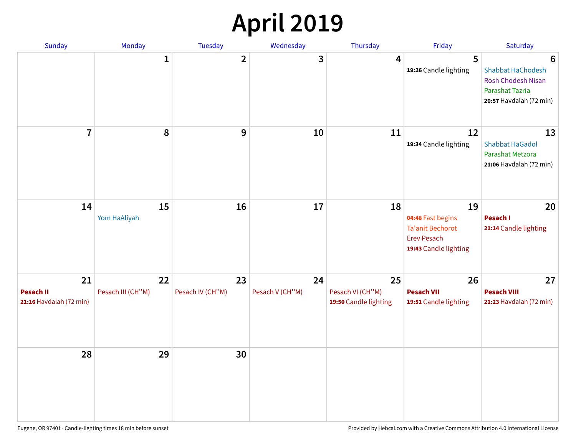## **April 2019**

| Sunday                                            | Monday                  | Tuesday                | Wednesday             | Thursday                                        | Friday                                                                                            | Saturday                                                                                                 |
|---------------------------------------------------|-------------------------|------------------------|-----------------------|-------------------------------------------------|---------------------------------------------------------------------------------------------------|----------------------------------------------------------------------------------------------------------|
|                                                   | 1                       | $\overline{2}$         | 3                     | 4                                               | 5<br>19:26 Candle lighting                                                                        | 6<br><b>Shabbat HaChodesh</b><br><b>Rosh Chodesh Nisan</b><br>Parashat Tazria<br>20:57 Havdalah (72 min) |
| $\overline{7}$                                    | 8                       | 9                      | 10                    | 11                                              | 12<br>19:34 Candle lighting                                                                       | 13<br><b>Shabbat HaGadol</b><br>Parashat Metzora<br>21:06 Havdalah (72 min)                              |
| 14                                                | 15<br>Yom HaAliyah      | 16                     | 17                    | 18                                              | 19<br>04:48 Fast begins<br><b>Ta'anit Bechorot</b><br><b>Erev Pesach</b><br>19:43 Candle lighting | 20<br>Pesach I<br>21:14 Candle lighting                                                                  |
| 21<br><b>Pesach II</b><br>21:16 Havdalah (72 min) | 22<br>Pesach III (CH"M) | 23<br>Pesach IV (CH"M) | 24<br>Pesach V (CH"M) | 25<br>Pesach VI (CH"M)<br>19:50 Candle lighting | 26<br><b>Pesach VII</b><br>19:51 Candle lighting                                                  | 27<br><b>Pesach VIII</b><br>21:23 Havdalah (72 min)                                                      |
| 28                                                | 29                      | 30                     |                       |                                                 |                                                                                                   |                                                                                                          |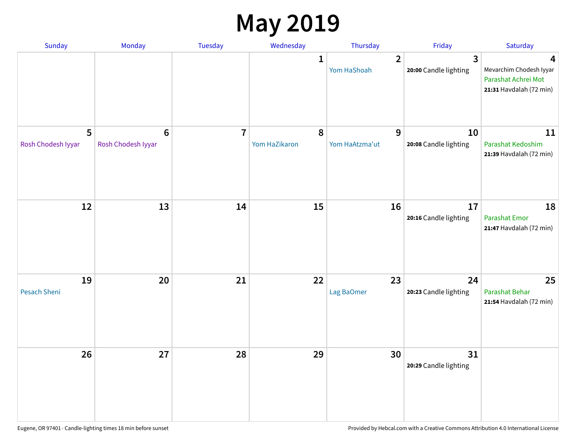### **May 2019**

| <b>Sunday</b>           | Monday                                | Tuesday        | Wednesday                  | Thursday                      | Friday                      | Saturday                                                                       |
|-------------------------|---------------------------------------|----------------|----------------------------|-------------------------------|-----------------------------|--------------------------------------------------------------------------------|
|                         |                                       |                | 1                          | $\overline{2}$<br>Yom HaShoah | 3<br>20:00 Candle lighting  | 4<br>Mevarchim Chodesh Iyyar<br>Parashat Achrei Mot<br>21:31 Havdalah (72 min) |
| 5<br>Rosh Chodesh Iyyar | $6\phantom{1}6$<br>Rosh Chodesh Iyyar | $\overline{7}$ | $\pmb{8}$<br>Yom HaZikaron | 9<br>Yom HaAtzma'ut           | 10<br>20:08 Candle lighting | 11<br>Parashat Kedoshim<br>21:39 Havdalah (72 min)                             |
| 12                      | 13                                    | 14             | 15                         | 16                            | 17<br>20:16 Candle lighting | 18<br><b>Parashat Emor</b><br>21:47 Havdalah (72 min)                          |
| 19<br>Pesach Sheni      | 20                                    | 21             | 22                         | 23<br>Lag BaOmer              | 24<br>20:23 Candle lighting | 25<br>Parashat Behar<br>21:54 Havdalah (72 min)                                |
| 26                      | 27                                    | 28             | 29                         | 30                            | 31<br>20:29 Candle lighting |                                                                                |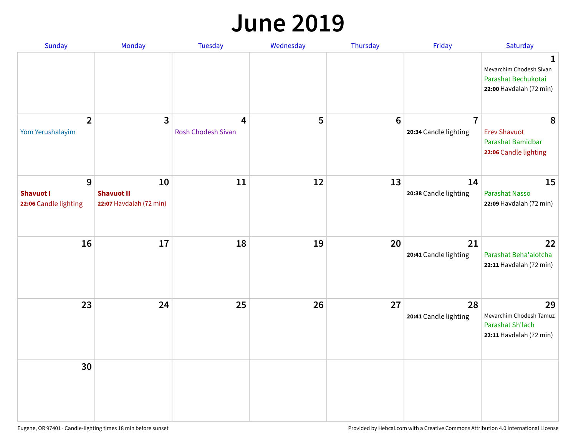#### **June 2019**

| Sunday                                         | Monday                                             | Tuesday                 | Wednesday | Thursday        | Friday                                  | Saturday                                                                       |
|------------------------------------------------|----------------------------------------------------|-------------------------|-----------|-----------------|-----------------------------------------|--------------------------------------------------------------------------------|
|                                                |                                                    |                         |           |                 |                                         | 1<br>Mevarchim Chodesh Sivan<br>Parashat Bechukotai<br>22:00 Havdalah (72 min) |
| $\overline{2}$<br>Yom Yerushalayim             | 3                                                  | 4<br>Rosh Chodesh Sivan | 5         | $6\phantom{1}6$ | $\overline{1}$<br>20:34 Candle lighting | 8<br><b>Erev Shavuot</b><br>Parashat Bamidbar<br>22:06 Candle lighting         |
| 9<br><b>Shavuot I</b><br>22:06 Candle lighting | 10<br><b>Shavuot II</b><br>22:07 Havdalah (72 min) | 11                      | 12        | 13              | 14<br>20:38 Candle lighting             | 15<br><b>Parashat Nasso</b><br>22:09 Havdalah (72 min)                         |
| 16                                             | 17                                                 | 18                      | 19        | 20              | 21<br>20:41 Candle lighting             | 22<br>Parashat Beha'alotcha<br>22:11 Havdalah (72 min)                         |
| 23                                             | 24                                                 | 25                      | 26        | 27              | 28<br>20:41 Candle lighting             | 29<br>Mevarchim Chodesh Tamuz<br>Parashat Sh'lach<br>22:11 Havdalah (72 min)   |
| 30                                             |                                                    |                         |           |                 |                                         |                                                                                |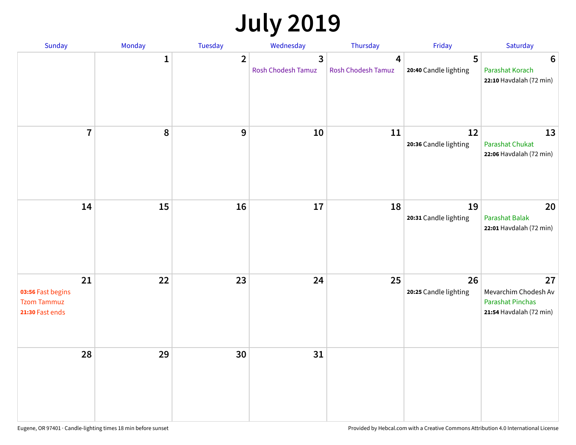# **July 2019**

| Sunday                                                           | Monday       | Tuesday          | Wednesday                          | Thursday                | Friday                      | Saturday                                                                         |
|------------------------------------------------------------------|--------------|------------------|------------------------------------|-------------------------|-----------------------------|----------------------------------------------------------------------------------|
|                                                                  | $\mathbf{1}$ | $\overline{2}$   | $\mathbf{3}$<br>Rosh Chodesh Tamuz | 4<br>Rosh Chodesh Tamuz | 5<br>20:40 Candle lighting  | 6<br>Parashat Korach<br>22:10 Havdalah (72 min)                                  |
| $\overline{7}$                                                   | 8            | $\boldsymbol{9}$ | 10                                 | 11                      | 12<br>20:36 Candle lighting | 13<br>Parashat Chukat<br>22:06 Havdalah (72 min)                                 |
| 14                                                               | 15           | 16               | 17                                 | 18                      | 19<br>20:31 Candle lighting | 20<br>Parashat Balak<br>22:01 Havdalah (72 min)                                  |
| 21<br>03:56 Fast begins<br><b>Tzom Tammuz</b><br>21:30 Fast ends | 22           | 23               | 24                                 | 25                      | 26<br>20:25 Candle lighting | 27<br>Mevarchim Chodesh Av<br><b>Parashat Pinchas</b><br>21:54 Havdalah (72 min) |
| 28                                                               | 29           | 30               | 31                                 |                         |                             |                                                                                  |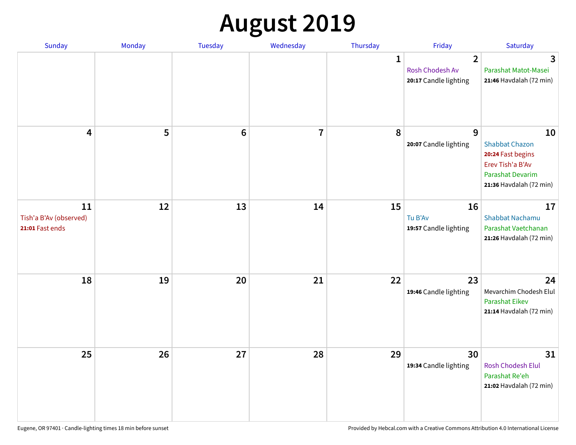# **August 2019**

| <b>Sunday</b>                                   | Monday | Tuesday         | Wednesday               | Thursday     | Friday                                                     | Saturday                                                                                                                   |
|-------------------------------------------------|--------|-----------------|-------------------------|--------------|------------------------------------------------------------|----------------------------------------------------------------------------------------------------------------------------|
|                                                 |        |                 |                         | $\mathbf{1}$ | $\overline{2}$<br>Rosh Chodesh Av<br>20:17 Candle lighting | 3<br>Parashat Matot-Masei<br>21:46 Havdalah (72 min)                                                                       |
| 4                                               | 5      | $6\phantom{1}6$ | $\overline{\mathbf{I}}$ | 8            | 9<br>20:07 Candle lighting                                 | 10<br><b>Shabbat Chazon</b><br>20:24 Fast begins<br>Erev Tish'a B'Av<br><b>Parashat Devarim</b><br>21:36 Havdalah (72 min) |
| 11<br>Tish'a B'Av (observed)<br>21:01 Fast ends | 12     | 13              | 14                      | 15           | 16<br>Tu B'Av<br>19:57 Candle lighting                     | 17<br><b>Shabbat Nachamu</b><br>Parashat Vaetchanan<br>21:26 Havdalah (72 min)                                             |
| 18                                              | 19     | 20              | 21                      | 22           | 23<br>19:46 Candle lighting                                | 24<br>Mevarchim Chodesh Elul<br>Parashat Eikev<br>21:14 Havdalah (72 min)                                                  |
| 25                                              | 26     | 27              | 28                      | 29           | 30<br>19:34 Candle lighting                                | 31<br><b>Rosh Chodesh Elul</b><br>Parashat Re'eh<br>21:02 Havdalah (72 min)                                                |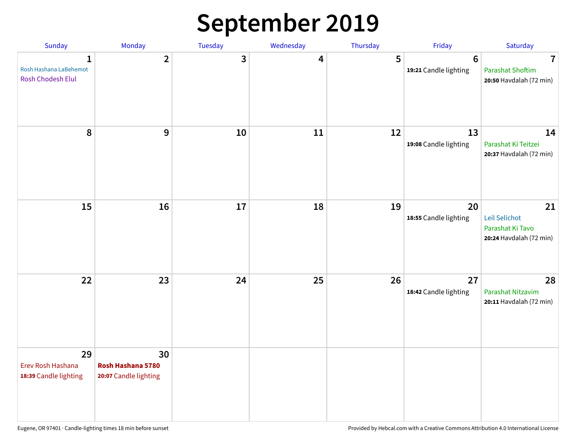## **September 2019**

| Sunday                                                      | Monday                                           | Tuesday | Wednesday | Thursday | Friday                                  | Saturday                                                                      |
|-------------------------------------------------------------|--------------------------------------------------|---------|-----------|----------|-----------------------------------------|-------------------------------------------------------------------------------|
| $\mathbf{1}$<br>Rosh Hashana LaBehemot<br>Rosh Chodesh Elul | $\overline{2}$                                   | 3       | 4         | 5        | $6\phantom{1}$<br>19:21 Candle lighting | $\overline{\mathbf{7}}$<br><b>Parashat Shoftim</b><br>20:50 Havdalah (72 min) |
| 8                                                           | $\mathbf{9}$                                     | 10      | 11        | 12       | 13<br>19:08 Candle lighting             | 14<br>Parashat Ki Teitzei<br>20:37 Havdalah (72 min)                          |
| 15                                                          | 16                                               | 17      | 18        | 19       | 20<br>18:55 Candle lighting             | 21<br>Leil Selichot<br>Parashat Ki Tavo<br>20:24 Havdalah (72 min)            |
| 22                                                          | 23                                               | 24      | 25        | 26       | 27<br>18:42 Candle lighting             | 28<br>Parashat Nitzavim<br>20:11 Havdalah (72 min)                            |
| 29<br>Erev Rosh Hashana<br>18:39 Candle lighting            | 30<br>Rosh Hashana 5780<br>20:07 Candle lighting |         |           |          |                                         |                                                                               |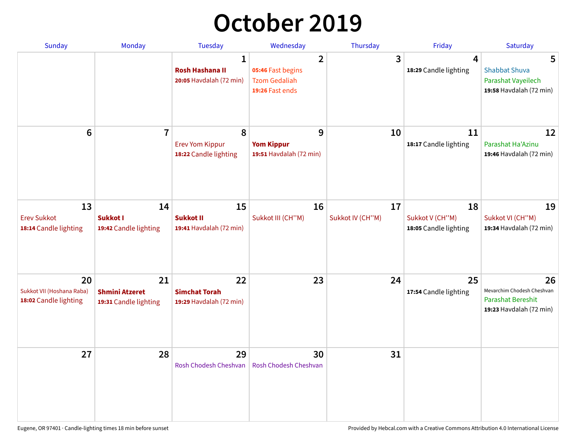## **October 2019**

| <b>Sunday</b>                                            | <b>Monday</b>                                        | <b>Tuesday</b>                                                    | Wednesday                                                                      | Thursday               | Friday                                         | Saturday                                                                                |
|----------------------------------------------------------|------------------------------------------------------|-------------------------------------------------------------------|--------------------------------------------------------------------------------|------------------------|------------------------------------------------|-----------------------------------------------------------------------------------------|
|                                                          |                                                      | $\mathbf{1}$<br><b>Rosh Hashana II</b><br>20:05 Havdalah (72 min) | $\overline{2}$<br>05:46 Fast begins<br><b>Tzom Gedaliah</b><br>19:26 Fast ends | 3                      | 4<br>18:29 Candle lighting                     | 5<br><b>Shabbat Shuva</b><br>Parashat Vayeilech<br>19:58 Havdalah (72 min)              |
| 6                                                        | $\overline{7}$                                       | 8<br><b>Erev Yom Kippur</b><br>18:22 Candle lighting              | 9<br><b>Yom Kippur</b><br>19:51 Havdalah (72 min)                              | 10                     | 11<br>18:17 Candle lighting                    | 12<br>Parashat Ha'Azinu<br>19:46 Havdalah (72 min)                                      |
| 13<br><b>Erev Sukkot</b><br>18:14 Candle lighting        | 14<br>Sukkot I<br>19:42 Candle lighting              | 15<br><b>Sukkot II</b><br>19:41 Havdalah (72 min)                 | 16<br>Sukkot III (CH"M)                                                        | 17<br>Sukkot IV (CH"M) | 18<br>Sukkot V (CH"M)<br>18:05 Candle lighting | 19<br>Sukkot VI (CH"M)<br>19:34 Havdalah (72 min)                                       |
| 20<br>Sukkot VII (Hoshana Raba)<br>18:02 Candle lighting | 21<br><b>Shmini Atzeret</b><br>19:31 Candle lighting | 22<br><b>Simchat Torah</b><br>19:29 Havdalah (72 min)             | 23                                                                             | 24                     | 25<br>17:54 Candle lighting                    | 26<br>Mevarchim Chodesh Cheshvan<br><b>Parashat Bereshit</b><br>19:23 Havdalah (72 min) |
| 27                                                       | 28                                                   | 29<br>Rosh Chodesh Cheshvan                                       | 30<br>Rosh Chodesh Cheshvan                                                    | 31                     |                                                |                                                                                         |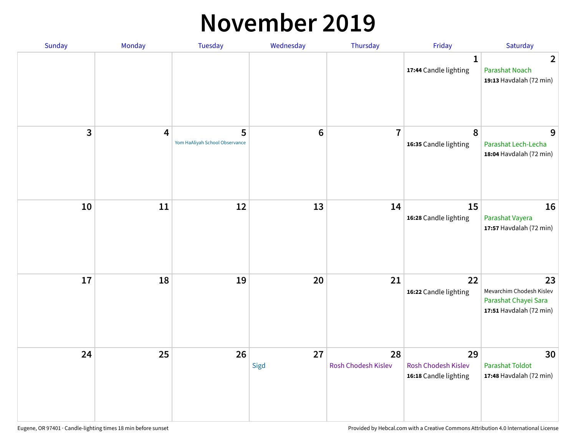#### **November 2019**

| Sunday | Monday | <b>Tuesday</b>                      | Wednesday  | Thursday                  | Friday                                             | Saturday                                                                          |
|--------|--------|-------------------------------------|------------|---------------------------|----------------------------------------------------|-----------------------------------------------------------------------------------|
|        |        |                                     |            |                           | 1<br>17:44 Candle lighting                         | $\overline{2}$<br>Parashat Noach<br>19:13 Havdalah (72 min)                       |
| 3      | 4      | 5<br>Yom HaAliyah School Observance | $\bf 6$    | $\overline{7}$            | $\pmb{8}$<br>16:35 Candle lighting                 | 9<br>Parashat Lech-Lecha<br>18:04 Havdalah (72 min)                               |
| 10     | $11\,$ | 12                                  | 13         | 14                        | 15<br>16:28 Candle lighting                        | 16<br>Parashat Vayera<br>17:57 Havdalah (72 min)                                  |
| 17     | 18     | 19                                  | 20         | 21                        | 22<br>16:22 Candle lighting                        | 23<br>Mevarchim Chodesh Kislev<br>Parashat Chayei Sara<br>17:51 Havdalah (72 min) |
| 24     | 25     | 26                                  | 27<br>Sigd | 28<br>Rosh Chodesh Kislev | 29<br>Rosh Chodesh Kislev<br>16:18 Candle lighting | 30<br><b>Parashat Toldot</b><br>17:48 Havdalah (72 min)                           |